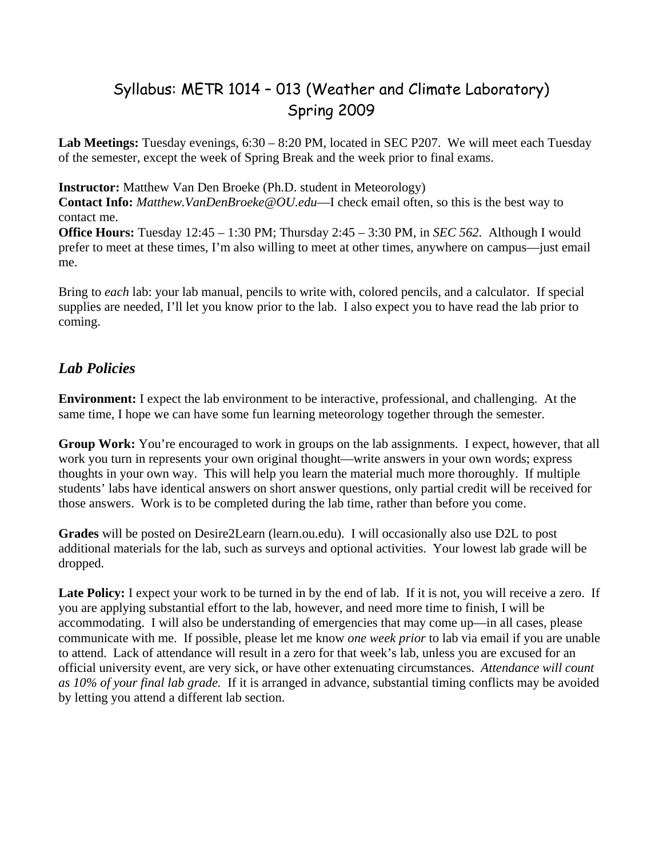## Syllabus: METR 1014 – 013 (Weather and Climate Laboratory) Spring 2009

**Lab Meetings:** Tuesday evenings, 6:30 – 8:20 PM, located in SEC P207. We will meet each Tuesday of the semester, except the week of Spring Break and the week prior to final exams.

**Instructor:** Matthew Van Den Broeke (Ph.D. student in Meteorology)

**Contact Info:** *Matthew.VanDenBroeke@OU.edu*—I check email often, so this is the best way to contact me.

**Office Hours:** Tuesday 12:45 – 1:30 PM; Thursday 2:45 – 3:30 PM, in *SEC 562*. Although I would prefer to meet at these times, I'm also willing to meet at other times, anywhere on campus—just email me.

Bring to *each* lab: your lab manual, pencils to write with, colored pencils, and a calculator. If special supplies are needed, I'll let you know prior to the lab. I also expect you to have read the lab prior to coming.

## *Lab Policies*

**Environment:** I expect the lab environment to be interactive, professional, and challenging. At the same time, I hope we can have some fun learning meteorology together through the semester.

**Group Work:** You're encouraged to work in groups on the lab assignments. I expect, however, that all work you turn in represents your own original thought—write answers in your own words; express thoughts in your own way. This will help you learn the material much more thoroughly. If multiple students' labs have identical answers on short answer questions, only partial credit will be received for those answers. Work is to be completed during the lab time, rather than before you come.

**Grades** will be posted on Desire2Learn (learn.ou.edu). I will occasionally also use D2L to post additional materials for the lab, such as surveys and optional activities. Your lowest lab grade will be dropped.

Late Policy: I expect your work to be turned in by the end of lab. If it is not, you will receive a zero. If you are applying substantial effort to the lab, however, and need more time to finish, I will be accommodating. I will also be understanding of emergencies that may come up—in all cases, please communicate with me. If possible, please let me know *one week prior* to lab via email if you are unable to attend. Lack of attendance will result in a zero for that week's lab, unless you are excused for an official university event, are very sick, or have other extenuating circumstances. *Attendance will count as 10% of your final lab grade.* If it is arranged in advance, substantial timing conflicts may be avoided by letting you attend a different lab section.